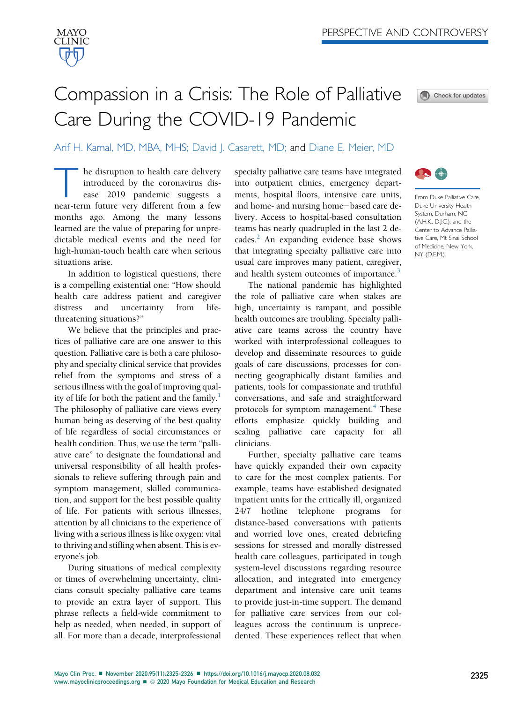

## Compassion in a Crisis: The Role of Palliative Care During the COVID-19 Pandemic



Arif H. Kamal, MD, MBA, MHS; David J. Casarett, MD; and Diane E. Meier, MD

The disruption to health care delivery<br>introduced by the coronavirus dis-<br>ease 2019 pandemic suggests a<br>near-term future very different from a few introduced by the coronavirus disease 2019 pandemic suggests a near-term future very different from a few months ago. Among the many lessons learned are the value of preparing for unpredictable medical events and the need for high-human-touch health care when serious situations arise.

In addition to logistical questions, there is a compelling existential one: "How should health care address patient and caregiver distress and uncertainty from lifethreatening situations?"

We believe that the principles and practices of palliative care are one answer to this question. Palliative care is both a care philosophy and specialty clinical service that provides relief from the symptoms and stress of a serious illness with the goal of improving quality of life for both the patient and the family. $\frac{1}{1}$  $\frac{1}{1}$  $\frac{1}{1}$ The philosophy of palliative care views every human being as deserving of the best quality of life regardless of social circumstances or health condition. Thus, we use the term "palliative care" to designate the foundational and universal responsibility of all health professionals to relieve suffering through pain and symptom management, skilled communication, and support for the best possible quality of life. For patients with serious illnesses, attention by all clinicians to the experience of living with a serious illness is like oxygen: vital to thriving and stifling when absent. This is everyone's job.

During situations of medical complexity or times of overwhelming uncertainty, clinicians consult specialty palliative care teams to provide an extra layer of support. This phrase reflects a field-wide commitment to help as needed, when needed, in support of all. For more than a decade, interprofessional

specialty palliative care teams have integrated into outpatient clinics, emergency departments, hospital floors, intensive care units, and home- and nursing home-based care delivery. Access to hospital-based consultation teams has nearly quadrupled in the last 2 de-cades.<sup>[2](#page-1-1)</sup> An expanding evidence base shows that integrating specialty palliative care into usual care improves many patient, caregiver, and health system outcomes of importance.<sup>3</sup>

The national pandemic has highlighted the role of palliative care when stakes are high, uncertainty is rampant, and possible health outcomes are troubling. Specialty palliative care teams across the country have worked with interprofessional colleagues to develop and disseminate resources to guide goals of care discussions, processes for connecting geographically distant families and patients, tools for compassionate and truthful conversations, and safe and straightforward protocols for symptom management.<sup>4</sup> These efforts emphasize quickly building and scaling palliative care capacity for all clinicians.

Further, specialty palliative care teams have quickly expanded their own capacity to care for the most complex patients. For example, teams have established designated inpatient units for the critically ill, organized 24/7 hotline telephone programs for distance-based conversations with patients and worried love ones, created debriefing sessions for stressed and morally distressed health care colleagues, participated in tough system-level discussions regarding resource allocation, and integrated into emergency department and intensive care unit teams to provide just-in-time support. The demand for palliative care services from our colleagues across the continuum is unprecedented. These experiences reflect that when



From Duke Palliative Care, Duke University Health System, Durham, NC (A.H.K., D.J.C.); and the Center to Advance Palliative Care, Mt Sinai School of Medicine, New York, NY (D.E.M.).